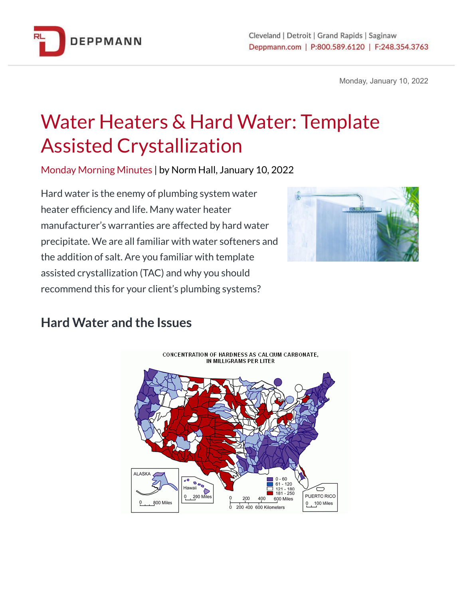

Monday, January 10, 2022

## Water Heaters & Hard Water: Template Assisted Crystallization

Monday Morning Minutes | by Norm Hall, January 10, 2022

Hard water is the enemy of plumbing system water heater efficiency and life. Many water heater manufacturer's warranties are affected by hard water precipitate. We are all familiar with water softeners and the addition of salt. Are you familiar with template assisted crystallization (TAC) and why you should recommend this for your client's plumbing systems?



## **Hard Water and the Issues**

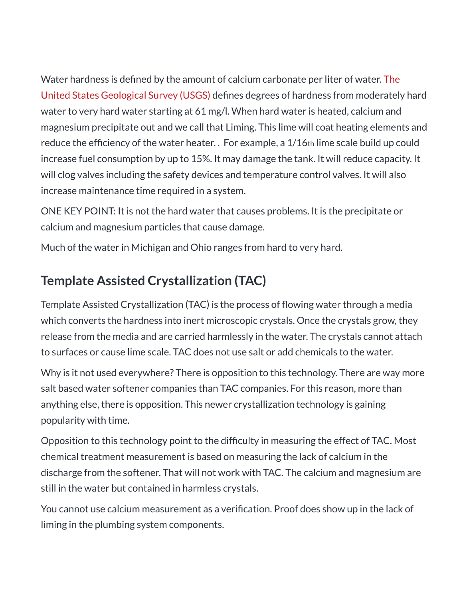Water hardness is defined by the amount of calcium carbonate per liter of water. [The](https://www.usgs.gov/special-topics/water-science-school/science/hardness-water) United States [Geological](https://www.usgs.gov/special-topics/water-science-school/science/hardness-water) Survey (USGS) defines degrees of hardness from moderately hard water to very hard water starting at 61 mg/l. When hard water is heated, calcium and magnesium precipitate out and we call that Liming. This lime will coat heating elements and reduce the efficiency of the water heater. . For example, a 1/16th lime scale build up could increase fuel consumption by up to 15%. It may damage the tank. It will reduce capacity. It will clog valves including the safety devices and temperature control valves. It will also increase maintenance time required in a system.

ONE KEY POINT: It is not the hard water that causes problems. It is the precipitate or calcium and magnesium particles that cause damage.

Much of the water in Michigan and Ohio ranges from hard to very hard.

## **Template Assisted Crystallization (TAC)**

Template Assisted Crystallization (TAC) is the process of flowing water through a media which converts the hardness into inert microscopic crystals. Once the crystals grow, they release from the media and are carried harmlessly in the water. The crystals cannot attach to surfaces or cause lime scale. TAC does not use salt or add chemicals to the water.

Why is it not used everywhere? There is opposition to this technology. There are way more salt based water softener companies than TAC companies. For this reason, more than anything else, there is opposition. This newer crystallization technology is gaining popularity with time.

Opposition to this technology point to the difficulty in measuring the effect of TAC. Most chemical treatment measurement is based on measuring the lack of calcium in the discharge from the softener. That will not work with TAC. The calcium and magnesium are still in the water but contained in harmless crystals.

You cannot use calcium measurement as a verification. Proof does show up in the lack of liming in the plumbing system components.